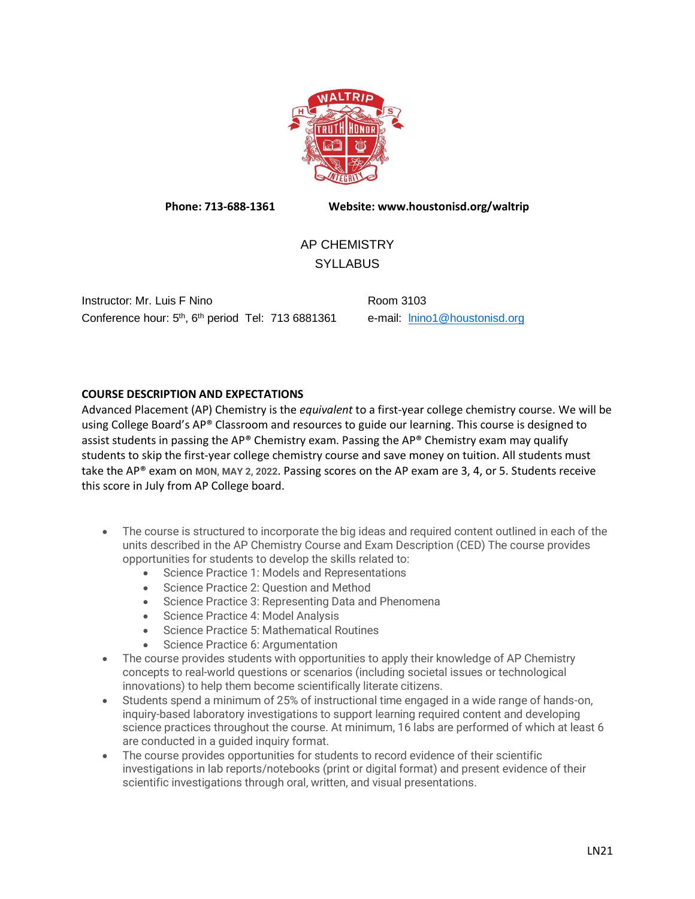

**Phone: 713-688-1361 Website: www.houstonisd.org/waltrip**

# AP CHEMISTRY **SYLLABUS**

Instructor: Mr. Luis F Nino **Room 3103** Conference hour: 5<sup>th</sup>, 6<sup>th</sup> period Tel: 713 6881361 e-mail: **Inino1@houstonisd.org** 

## **COURSE DESCRIPTION AND EXPECTATIONS**

Advanced Placement (AP) Chemistry is the *equivalent* to a first-year college chemistry course. We will be using College Board's AP® Classroom and resources to guide our learning. This course is designed to assist students in passing the AP® Chemistry exam. Passing the AP® Chemistry exam may qualify students to skip the first-year college chemistry course and save money on tuition. All students must take the AP® exam on **MON, MAY 2, 2022**. Passing scores on the AP exam are 3, 4, or 5. Students receive this score in July from AP College board.

- The course is structured to incorporate the big ideas and required content outlined in each of the units described in the AP Chemistry Course and Exam Description (CED) The course provides opportunities for students to develop the skills related to:
	- Science Practice 1: Models and Representations
	- Science Practice 2: Question and Method
	- Science Practice 3: Representing Data and Phenomena
	- Science Practice 4: Model Analysis
	- Science Practice 5: Mathematical Routines
	- Science Practice 6: Argumentation
- The course provides students with opportunities to apply their knowledge of AP Chemistry concepts to real-world questions or scenarios (including societal issues or technological innovations) to help them become scientifically literate citizens.
- Students spend a minimum of 25% of instructional time engaged in a wide range of hands-on, inquiry-based laboratory investigations to support learning required content and developing science practices throughout the course. At minimum, 16 labs are performed of which at least 6 are conducted in a guided inquiry format.
- The course provides opportunities for students to record evidence of their scientific investigations in lab reports/notebooks (print or digital format) and present evidence of their scientific investigations through oral, written, and visual presentations.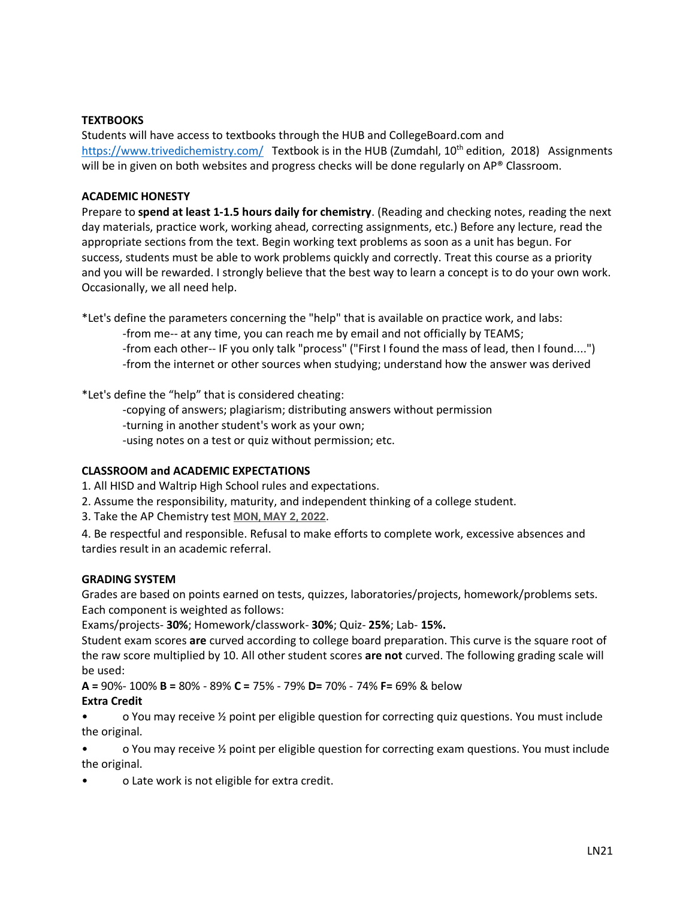## **TEXTBOOKS**

Students will have access to textbooks through the HUB and CollegeBoard.com and <https://www.trivedichemistry.com/>Textbook is in the HUB (Zumdahl, 10<sup>th</sup> edition, 2018) Assignments will be in given on both websites and progress checks will be done regularly on AP® Classroom.

#### **ACADEMIC HONESTY**

Prepare to **spend at least 1-1.5 hours daily for chemistry**. (Reading and checking notes, reading the next day materials, practice work, working ahead, correcting assignments, etc.) Before any lecture, read the appropriate sections from the text. Begin working text problems as soon as a unit has begun. For success, students must be able to work problems quickly and correctly. Treat this course as a priority and you will be rewarded. I strongly believe that the best way to learn a concept is to do your own work. Occasionally, we all need help.

\*Let's define the parameters concerning the "help" that is available on practice work, and labs:

-from me-- at any time, you can reach me by email and not officially by TEAMS; -from each other-- IF you only talk "process" ("First I found the mass of lead, then I found....") -from the internet or other sources when studying; understand how the answer was derived

\*Let's define the "help" that is considered cheating:

-copying of answers; plagiarism; distributing answers without permission

-turning in another student's work as your own;

-using notes on a test or quiz without permission; etc.

### **CLASSROOM and ACADEMIC EXPECTATIONS**

1. All HISD and Waltrip High School rules and expectations.

- 2. Assume the responsibility, maturity, and independent thinking of a college student.
- 3. Take the AP Chemistry test **MON, MAY 2, 2022**.

4. Be respectful and responsible. Refusal to make efforts to complete work, excessive absences and tardies result in an academic referral.

### **GRADING SYSTEM**

Grades are based on points earned on tests, quizzes, laboratories/projects, homework/problems sets. Each component is weighted as follows:

Exams/projects- **30%**; Homework/classwork- **30%**; Quiz- **25%**; Lab- **15%.** 

Student exam scores **are** curved according to college board preparation. This curve is the square root of the raw score multiplied by 10. All other student scores **are not** curved. The following grading scale will be used:

**A =** 90%- 100% **B =** 80% - 89% **C =** 75% - 79% **D=** 70% - 74% **F=** 69% & below

### **Extra Credit**

• o You may receive ½ point per eligible question for correcting quiz questions. You must include the original.

• o You may receive ½ point per eligible question for correcting exam questions. You must include the original.

• o Late work is not eligible for extra credit.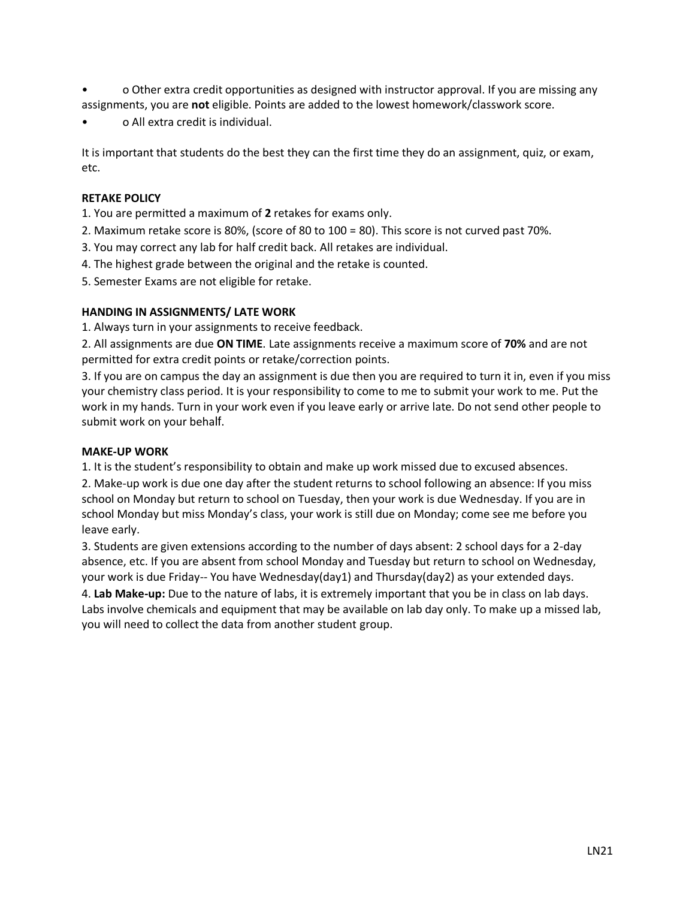- o Other extra credit opportunities as designed with instructor approval. If you are missing any assignments, you are **not** eligible. Points are added to the lowest homework/classwork score.
- o All extra credit is individual.

It is important that students do the best they can the first time they do an assignment, quiz, or exam, etc.

## **RETAKE POLICY**

1. You are permitted a maximum of **2** retakes for exams only.

2. Maximum retake score is 80%, (score of 80 to 100 = 80). This score is not curved past 70%.

3. You may correct any lab for half credit back. All retakes are individual.

- 4. The highest grade between the original and the retake is counted.
- 5. Semester Exams are not eligible for retake.

## **HANDING IN ASSIGNMENTS/ LATE WORK**

1. Always turn in your assignments to receive feedback.

2. All assignments are due **ON TIME**. Late assignments receive a maximum score of **70%** and are not permitted for extra credit points or retake/correction points.

3. If you are on campus the day an assignment is due then you are required to turn it in, even if you miss your chemistry class period. It is your responsibility to come to me to submit your work to me. Put the work in my hands. Turn in your work even if you leave early or arrive late. Do not send other people to submit work on your behalf.

### **MAKE-UP WORK**

1. It is the student's responsibility to obtain and make up work missed due to excused absences.

2. Make-up work is due one day after the student returns to school following an absence: If you miss school on Monday but return to school on Tuesday, then your work is due Wednesday. If you are in school Monday but miss Monday's class, your work is still due on Monday; come see me before you leave early.

3. Students are given extensions according to the number of days absent: 2 school days for a 2-day absence, etc. If you are absent from school Monday and Tuesday but return to school on Wednesday, your work is due Friday-- You have Wednesday(day1) and Thursday(day2) as your extended days.

4. **Lab Make-up:** Due to the nature of labs, it is extremely important that you be in class on lab days. Labs involve chemicals and equipment that may be available on lab day only. To make up a missed lab, you will need to collect the data from another student group.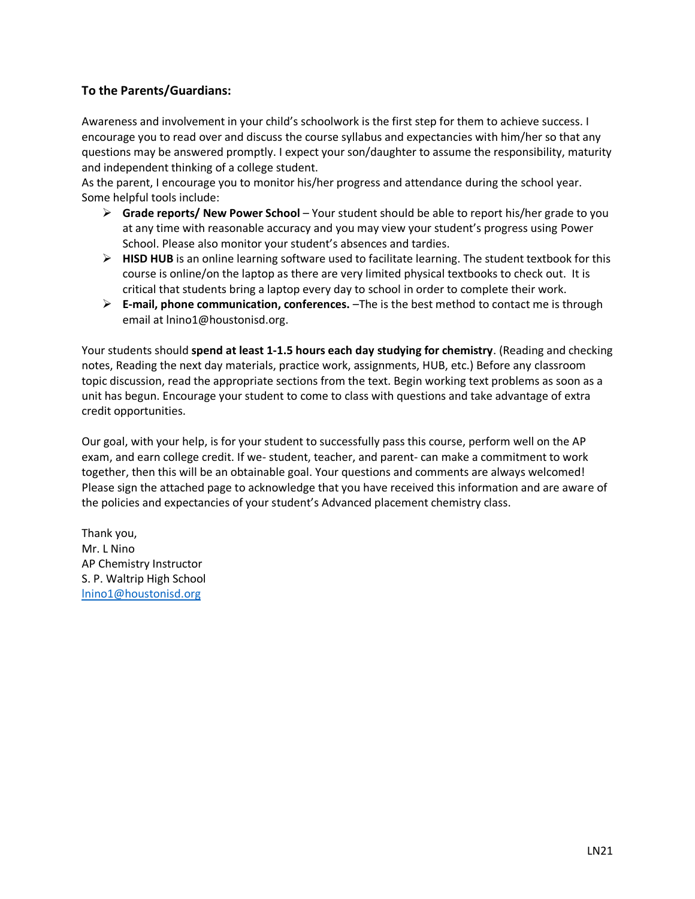# **To the Parents/Guardians:**

Awareness and involvement in your child's schoolwork is the first step for them to achieve success. I encourage you to read over and discuss the course syllabus and expectancies with him/her so that any questions may be answered promptly. I expect your son/daughter to assume the responsibility, maturity and independent thinking of a college student.

As the parent, I encourage you to monitor his/her progress and attendance during the school year. Some helpful tools include:

- ➢ **Grade reports/ New Power School** Your student should be able to report his/her grade to you at any time with reasonable accuracy and you may view your student's progress using Power School. Please also monitor your student's absences and tardies.
- ➢ **HISD HUB** is an online learning software used to facilitate learning. The student textbook for this course is online/on the laptop as there are very limited physical textbooks to check out. It is critical that students bring a laptop every day to school in order to complete their work.
- ➢ **E-mail, phone communication, conferences.** –The is the best method to contact me is through email at lnino1@houstonisd.org.

Your students should **spend at least 1-1.5 hours each day studying for chemistry**. (Reading and checking notes, Reading the next day materials, practice work, assignments, HUB, etc.) Before any classroom topic discussion, read the appropriate sections from the text. Begin working text problems as soon as a unit has begun. Encourage your student to come to class with questions and take advantage of extra credit opportunities.

Our goal, with your help, is for your student to successfully pass this course, perform well on the AP exam, and earn college credit. If we- student, teacher, and parent- can make a commitment to work together, then this will be an obtainable goal. Your questions and comments are always welcomed! Please sign the attached page to acknowledge that you have received this information and are aware of the policies and expectancies of your student's Advanced placement chemistry class.

Thank you, Mr. L Nino AP Chemistry Instructor S. P. Waltrip High School [lnino1@houstonisd.org](mailto:lnino1@houstonisd.org)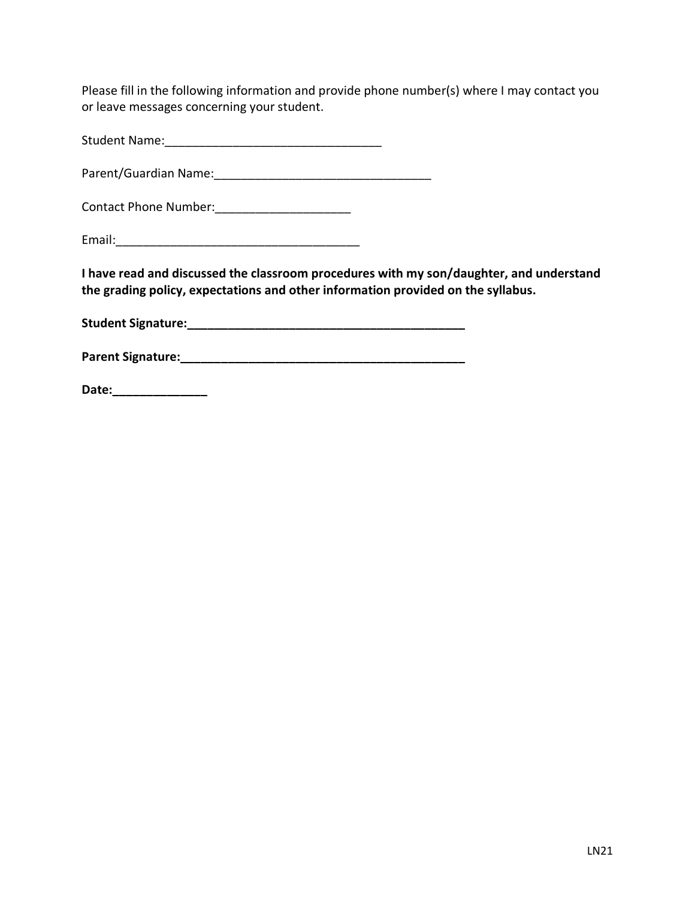Please fill in the following information and provide phone number(s) where I may contact you or leave messages concerning your student.

Student Name:\_\_\_\_\_\_\_\_\_\_\_\_\_\_\_\_\_\_\_\_\_\_\_\_\_\_\_\_\_\_\_\_

Parent/Guardian Name:

Contact Phone Number:\_\_\_\_\_\_\_\_\_\_\_\_\_\_\_\_\_\_\_\_

Email:\_\_\_\_\_\_\_\_\_\_\_\_\_\_\_\_\_\_\_\_\_\_\_\_\_\_\_\_\_\_\_\_\_\_\_\_

**I have read and discussed the classroom procedures with my son/daughter, and understand the grading policy, expectations and other information provided on the syllabus.** 

**Student Signature:\_\_\_\_\_\_\_\_\_\_\_\_\_\_\_\_\_\_\_\_\_\_\_\_\_\_\_\_\_\_\_\_\_\_\_\_\_\_\_\_\_** 

**Parent Signature:\_\_\_\_\_\_\_\_\_\_\_\_\_\_\_\_\_\_\_\_\_\_\_\_\_\_\_\_\_\_\_\_\_\_\_\_\_\_\_\_\_\_** 

**Date:\_\_\_\_\_\_\_\_\_\_\_\_\_\_**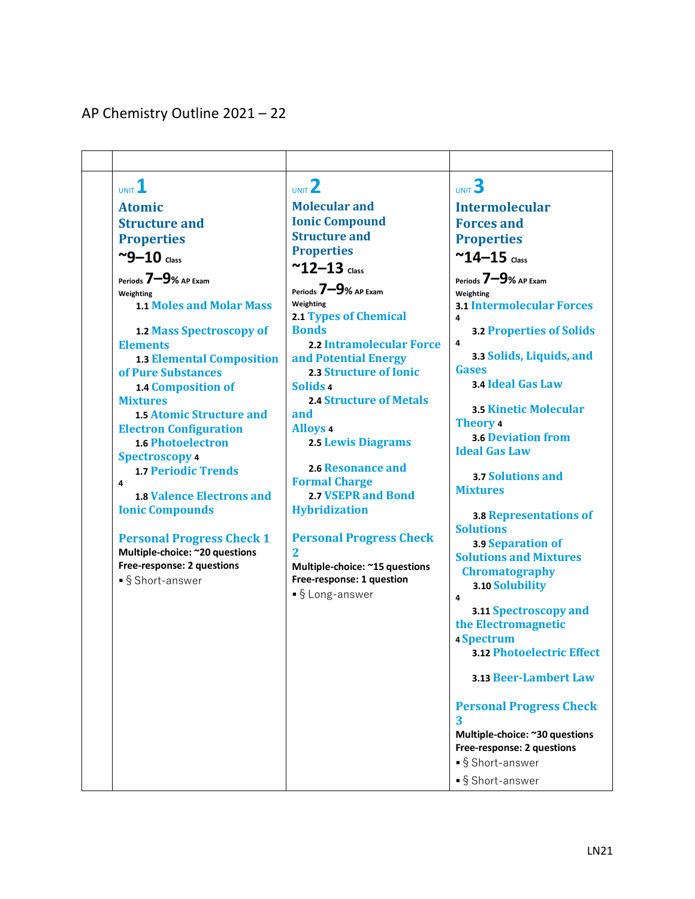# AP Chemistry Outline 2021 – 22

| UNIT 1                                              | $UNIT$ <sup>2</sup>            | UNIT 3                                        |
|-----------------------------------------------------|--------------------------------|-----------------------------------------------|
| <b>Atomic</b>                                       | <b>Molecular and</b>           | <b>Intermolecular</b>                         |
| <b>Structure and</b>                                | <b>Ionic Compound</b>          | <b>Forces and</b>                             |
| <b>Properties</b>                                   | <b>Structure and</b>           | <b>Properties</b>                             |
| $\sim$ 9-10 class                                   | <b>Properties</b>              | $^{\sim}$ 14-15 Class                         |
|                                                     | $~^{\sim}$ 12-13 Class         |                                               |
| Periods $7 - 9$ % AP Exam                           | Periods 7-9% AP Exam           | Periods 7-9% AP Exam                          |
| Weighting<br><b>1.1 Moles and Molar Mass</b>        | Weighting                      | Weighting<br><b>3.1 Intermolecular Forces</b> |
|                                                     | <b>2.1 Types of Chemical</b>   | 4                                             |
| 1.2 Mass Spectroscopy of                            | <b>Bonds</b>                   | <b>3.2 Properties of Solids</b>               |
| <b>Elements</b>                                     | 2.2 Intramolecular Force       | 4                                             |
| <b>1.3 Elemental Composition</b>                    | and Potential Energy           | 3.3 Solids, Liquids, and                      |
| of Pure Substances                                  | 2.3 Structure of Ionic         | <b>Gases</b>                                  |
| 1.4 Composition of                                  | Solids 4                       | 3.4 Ideal Gas Law                             |
| <b>Mixtures</b>                                     | <b>2.4 Structure of Metals</b> | <b>3.5 Kinetic Molecular</b>                  |
| <b>1.5 Atomic Structure and</b>                     | and                            | Theory 4                                      |
| <b>Electron Configuration</b>                       | <b>Alloys 4</b>                | <b>3.6 Deviation from</b>                     |
| <b>1.6 Photoelectron</b>                            | <b>2.5 Lewis Diagrams</b>      | <b>Ideal Gas Law</b>                          |
| <b>Spectroscopy 4</b><br><b>1.7 Periodic Trends</b> | 2.6 Resonance and              |                                               |
| 4                                                   | <b>Formal Charge</b>           | 3.7 Solutions and                             |
| <b>1.8 Valence Electrons and</b>                    | <b>2.7 VSEPR and Bond</b>      | <b>Mixtures</b>                               |
| <b>Ionic Compounds</b>                              | <b>Hybridization</b>           | 3.8 Representations of                        |
|                                                     |                                | <b>Solutions</b>                              |
| <b>Personal Progress Check 1</b>                    | <b>Personal Progress Check</b> | 3.9 Separation of                             |
| Multiple-choice: ~20 questions                      | 2                              | <b>Solutions and Mixtures</b>                 |
| Free-response: 2 questions                          | Multiple-choice: ~15 questions | <b>Chromatography</b>                         |
| ■§ Short-answer                                     | Free-response: 1 question      | 3.10 Solubility                               |
|                                                     | •§ Long-answer                 | 4                                             |
|                                                     |                                | 3.11 Spectroscopy and                         |
|                                                     |                                | the Electromagnetic                           |
|                                                     |                                | 4 Spectrum                                    |
|                                                     |                                | <b>3.12 Photoelectric Effect</b>              |
|                                                     |                                | <b>3.13 Beer-Lambert Law</b>                  |
|                                                     |                                | <b>Personal Progress Check</b>                |
|                                                     |                                | 3                                             |
|                                                     |                                | Multiple-choice: ~30 questions                |
|                                                     |                                | Free-response: 2 questions                    |
|                                                     |                                | ■§ Short-answer                               |
|                                                     |                                | ■§ Short-answer                               |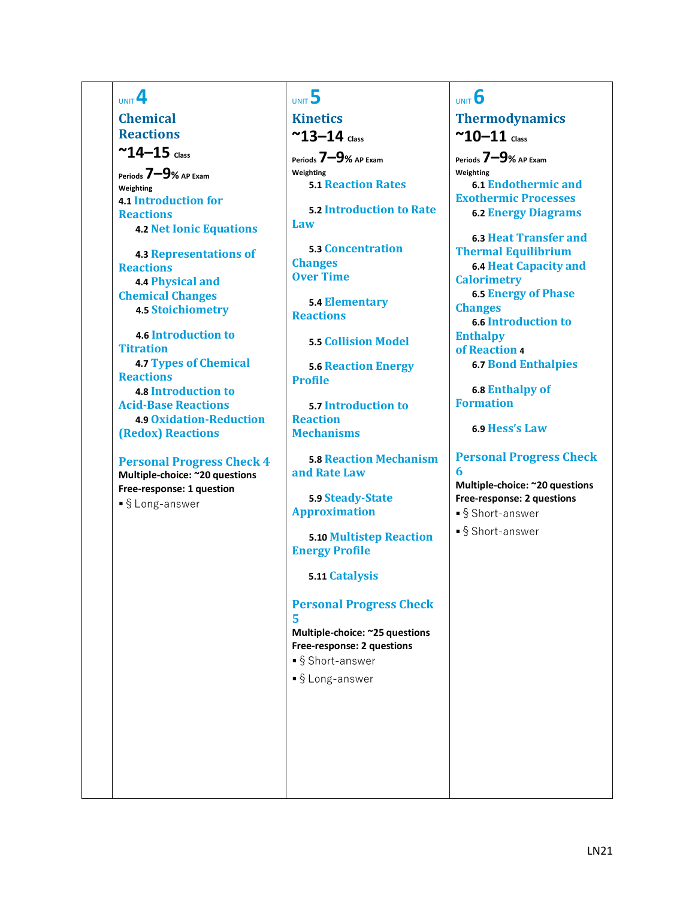# UNIT **4**

**Chemical Reactions**  $^{\sim}$ **14–15**  $_{\text{Class}}$ 

**Periods 7–9% AP Exam Weighting 4.1 Introduction for Reactions 2 TRA 4.2 Net Ionic Equations**

**4.3 Representations of Reactions 3 TRA 4.4 Physical and Chemical Changes 6 SPQ 4.5 Stoichiometry**

**SPQ 4.6 Introduction to Titration 3 4.7 Types of Chemical Reactions 1 TRA 4.8 Introduction to Acid-Base Reactions 1 TRA 4.9 Oxidation-Reduction (Redox) Reactions**

**Personal Progress Check 4 Multiple-choice: ~20 questions Free-response: 1 question** ■§Long-answer

# UNIT **5**

**Kinetics ~13–14 Class**

**Periods 7–9% AP Exam Weighting 5.1 Reaction Rates** 

**TRA 5.2 Introduction to Rate** 

**Law**

**TRA 5.3 Concentration Changes Over Time**

**TRA 5.4 Elementary Reactions**

**TRA 5.5 Collision Model**

**5.6 Reaction Energy Profile**

**5.7 Introduction to Reaction Mechanisms**

**5.8 Reaction Mechanism and Rate Law**

**TRA 5.9 Steady-State Approximation**

**5.10 Multistep Reaction Energy Profile**

**ENE 5.11 Catalysis**

**Personal Progress Check 5**

**Multiple-choice: ~25 questions Free-response: 2 questions**

- ■§Short-answer
- ■§Long-answer

# UNIT **6 Thermodynamics**  $^{\sim}$ **10** $-$ **11**  $_{class}$

**Periods 7–9% AP Exam Weighting ENE 6.1 Endothermic and Exothermic Processes ENE 6.2 Energy Diagrams**

**ENE 6.3 Heat Transfer and Thermal Equilibrium 6 ENE 6.4 Heat Capacity and Calorimetry 2 6.5 Energy of Phase Changes 1 6.6 Introduction to Enthalpy of Reaction 4 ENE 6.7 Bond Enthalpies**

**ENE 6.8 Enthalpy of Formation**

**ENE 6.9 Hess's Law**

#### **Personal Progress Check 6**

## **Multiple-choice: ~20 questions Free-response: 2 questions**

- ■§Short-answer
- ■§Short-answer